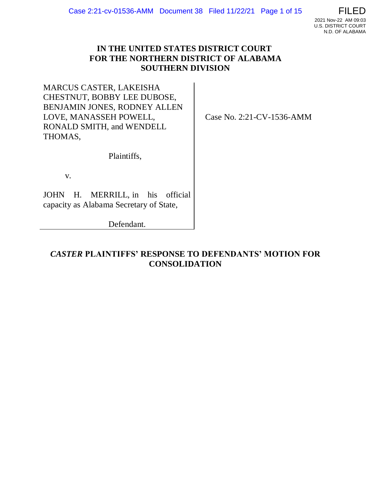# **IN THE UNITED STATES DISTRICT COURT FOR THE NORTHERN DISTRICT OF ALABAMA SOUTHERN DIVISION**

MARCUS CASTER, LAKEISHA CHESTNUT, BOBBY LEE DUBOSE, BENJAMIN JONES, RODNEY ALLEN LOVE, MANASSEH POWELL, RONALD SMITH, and WENDELL THOMAS,

Case No. 2:21-CV-1536-AMM

Plaintiffs,

v.

JOHN H. MERRILL, in his official capacity as Alabama Secretary of State,

Defendant.

*CASTER* **PLAINTIFFS' RESPONSE TO DEFENDANTS' MOTION FOR CONSOLIDATION**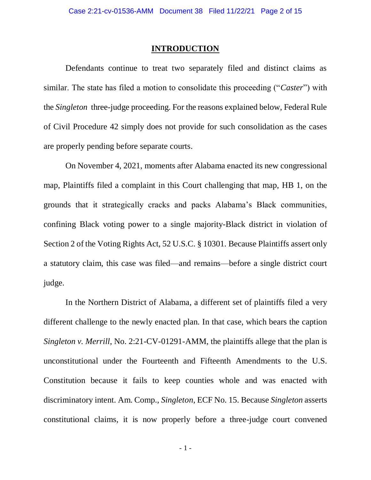### **INTRODUCTION**

Defendants continue to treat two separately filed and distinct claims as similar. The state has filed a motion to consolidate this proceeding ("*Caster*") with the *Singleton* three-judge proceeding. For the reasons explained below, Federal Rule of Civil Procedure 42 simply does not provide for such consolidation as the cases are properly pending before separate courts.

On November 4, 2021, moments after Alabama enacted its new congressional map, Plaintiffs filed a complaint in this Court challenging that map, HB 1, on the grounds that it strategically cracks and packs Alabama's Black communities, confining Black voting power to a single majority-Black district in violation of Section 2 of the Voting Rights Act, 52 U.S.C. § 10301. Because Plaintiffs assert only a statutory claim, this case was filed—and remains—before a single district court judge.

In the Northern District of Alabama, a different set of plaintiffs filed a very different challenge to the newly enacted plan. In that case, which bears the caption *Singleton v. Merrill*, No. 2:21-CV-01291-AMM, the plaintiffs allege that the plan is unconstitutional under the Fourteenth and Fifteenth Amendments to the U.S. Constitution because it fails to keep counties whole and was enacted with discriminatory intent. Am. Comp., *Singleton*, ECF No. 15. Because *Singleton* asserts constitutional claims, it is now properly before a three-judge court convened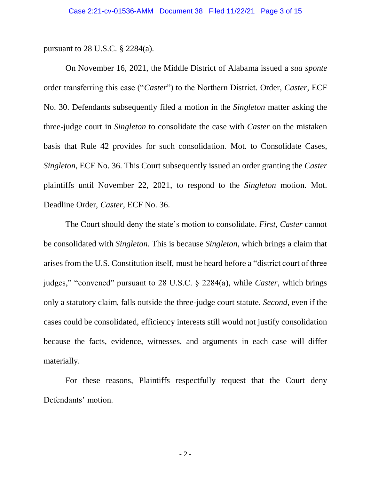pursuant to 28 U.S.C. § 2284(a).

On November 16, 2021, the Middle District of Alabama issued a *sua sponte* order transferring this case ("*Caster*") to the Northern District. Order, *Caster*, ECF No. 30. Defendants subsequently filed a motion in the *Singleton* matter asking the three-judge court in *Singleton* to consolidate the case with *Caster* on the mistaken basis that Rule 42 provides for such consolidation. Mot. to Consolidate Cases, *Singleton*, ECF No. 36. This Court subsequently issued an order granting the *Caster*  plaintiffs until November 22, 2021, to respond to the *Singleton* motion. Mot. Deadline Order, *Caster,* ECF No. 36.

The Court should deny the state's motion to consolidate. *First*, *Caster* cannot be consolidated with *Singleton*. This is because *Singleton*, which brings a claim that arises from the U.S. Constitution itself, must be heard before a "district court of three judges," "convened" pursuant to 28 U.S.C. § 2284(a), while *Caster*, which brings only a statutory claim, falls outside the three-judge court statute. *Second*, even if the cases could be consolidated, efficiency interests still would not justify consolidation because the facts, evidence, witnesses, and arguments in each case will differ materially.

For these reasons, Plaintiffs respectfully request that the Court deny Defendants' motion.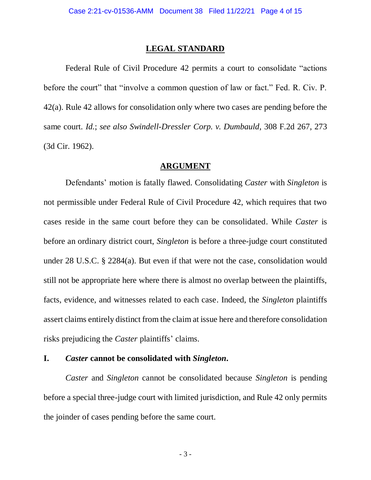#### **LEGAL STANDARD**

Federal Rule of Civil Procedure 42 permits a court to consolidate "actions before the court" that "involve a common question of law or fact." Fed. R. Civ. P. 42(a). Rule 42 allows for consolidation only where two cases are pending before the same court. *Id.*; *see also Swindell-Dressler Corp. v. Dumbauld*, 308 F.2d 267, 273 (3d Cir. 1962).

### **ARGUMENT**

Defendants' motion is fatally flawed. Consolidating *Caster* with *Singleton* is not permissible under Federal Rule of Civil Procedure 42, which requires that two cases reside in the same court before they can be consolidated. While *Caster* is before an ordinary district court, *Singleton* is before a three-judge court constituted under 28 U.S.C. § 2284(a). But even if that were not the case, consolidation would still not be appropriate here where there is almost no overlap between the plaintiffs, facts, evidence, and witnesses related to each case. Indeed, the *Singleton* plaintiffs assert claims entirely distinct from the claim at issue here and therefore consolidation risks prejudicing the *Caster* plaintiffs' claims.

### **I.** *Caster* **cannot be consolidated with** *Singleton***.**

*Caster* and *Singleton* cannot be consolidated because *Singleton* is pending before a special three-judge court with limited jurisdiction, and Rule 42 only permits the joinder of cases pending before the same court.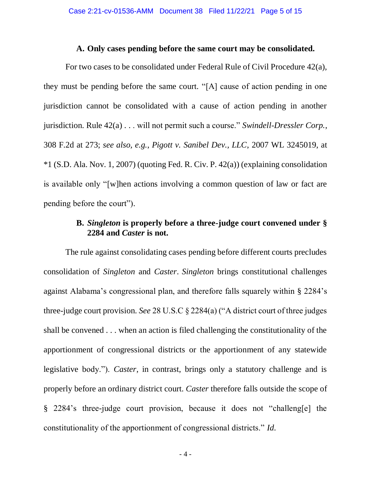### **A. Only cases pending before the same court may be consolidated.**

For two cases to be consolidated under Federal Rule of Civil Procedure 42(a), they must be pending before the same court. "[A] cause of action pending in one jurisdiction cannot be consolidated with a cause of action pending in another jurisdiction. Rule 42(a) . . . will not permit such a course." *Swindell-Dressler Corp.*, 308 F.2d at 273; *see also, e.g.*, *Pigott v. Sanibel Dev., LLC*, 2007 WL 3245019, at \*1 (S.D. Ala. Nov. 1, 2007) (quoting Fed. R. Civ. P. 42(a)) (explaining consolidation is available only "[w]hen actions involving a common question of law or fact are pending before the court").

## **B.** *Singleton* **is properly before a three-judge court convened under § 2284 and** *Caster* **is not.**

The rule against consolidating cases pending before different courts precludes consolidation of *Singleton* and *Caster*. *Singleton* brings constitutional challenges against Alabama's congressional plan, and therefore falls squarely within § 2284's three-judge court provision. *See* 28 U.S.C § 2284(a) ("A district court of three judges shall be convened . . . when an action is filed challenging the constitutionality of the apportionment of congressional districts or the apportionment of any statewide legislative body."). *Caster*, in contrast, brings only a statutory challenge and is properly before an ordinary district court. *Caster* therefore falls outside the scope of § 2284's three-judge court provision, because it does not "challeng[e] the constitutionality of the apportionment of congressional districts." *Id*.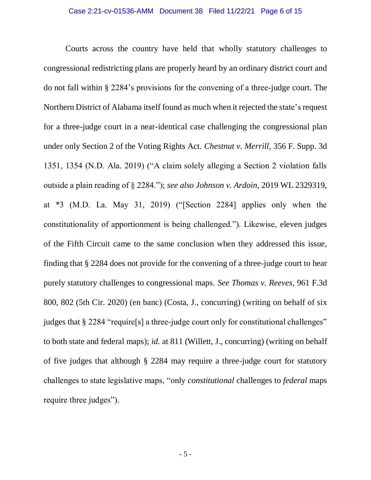Courts across the country have held that wholly statutory challenges to congressional redistricting plans are properly heard by an ordinary district court and do not fall within § 2284's provisions for the convening of a three-judge court. The Northern District of Alabama itself found as much when it rejected the state's request for a three-judge court in a near-identical case challenging the congressional plan under only Section 2 of the Voting Rights Act. *Chestnut v. Merrill*, 356 F. Supp. 3d 1351, 1354 (N.D. Ala. 2019) ("A claim solely alleging a Section 2 violation falls outside a plain reading of § 2284."); *see also Johnson v. Ardoin*, 2019 WL 2329319, at \*3 (M.D. La. May 31, 2019) ("[Section 2284] applies only when the constitutionality of apportionment is being challenged."). Likewise, eleven judges of the Fifth Circuit came to the same conclusion when they addressed this issue, finding that § 2284 does not provide for the convening of a three-judge court to hear purely statutory challenges to congressional maps. *See Thomas v. Reeves*, 961 F.3d 800, 802 (5th Cir. 2020) (en banc) (Costa, J., concurring) (writing on behalf of six judges that § 2284 "require[s] a three-judge court only for constitutional challenges" to both state and federal maps); *id.* at 811 (Willett, J., concurring) (writing on behalf of five judges that although § 2284 may require a three-judge court for statutory challenges to state legislative maps, "only *constitutional* challenges to *federal* maps require three judges").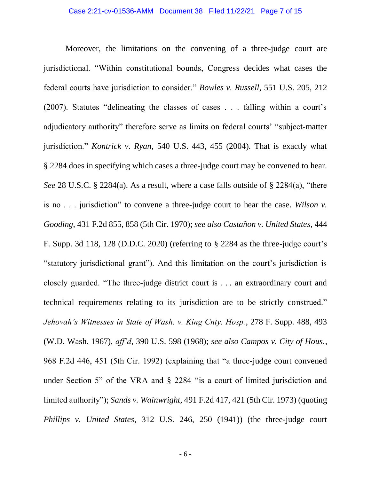Moreover, the limitations on the convening of a three-judge court are jurisdictional. "Within constitutional bounds, Congress decides what cases the federal courts have jurisdiction to consider." *Bowles v. Russell*, 551 U.S. 205, 212 (2007). Statutes "delineating the classes of cases . . . falling within a court's adjudicatory authority" therefore serve as limits on federal courts' "subject-matter jurisdiction." *Kontrick v. Ryan*, 540 U.S. 443, 455 (2004). That is exactly what § 2284 does in specifying which cases a three-judge court may be convened to hear. *See* 28 U.S.C. § 2284(a). As a result, where a case falls outside of § 2284(a), "there is no . . . jurisdiction" to convene a three-judge court to hear the case. *Wilson v. Gooding*, 431 F.2d 855, 858 (5th Cir. 1970); *see also Castañon v. United States*, 444 F. Supp. 3d 118, 128 (D.D.C. 2020) (referring to § 2284 as the three-judge court's "statutory jurisdictional grant"). And this limitation on the court's jurisdiction is closely guarded. "The three-judge district court is . . . an extraordinary court and technical requirements relating to its jurisdiction are to be strictly construed." *Jehovah's Witnesses in State of Wash. v. King Cnty. Hosp.*, 278 F. Supp. 488, 493 (W.D. Wash. 1967), *aff'd*, 390 U.S. 598 (1968); *see also Campos v. City of Hous.*, 968 F.2d 446, 451 (5th Cir. 1992) (explaining that "a three-judge court convened under Section 5" of the VRA and § 2284 "is a court of limited jurisdiction and limited authority"); *Sands v. Wainwright*, 491 F.2d 417, 421 (5th Cir. 1973) (quoting *Phillips v. United States*, 312 U.S. 246, 250 (1941)) (the three-judge court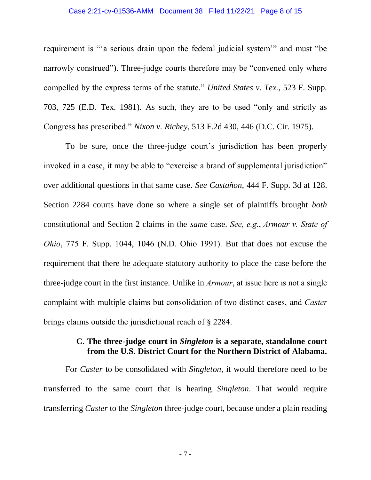#### Case 2:21-cv-01536-AMM Document 38 Filed 11/22/21 Page 8 of 15

requirement is "'a serious drain upon the federal judicial system'" and must "be narrowly construed"). Three-judge courts therefore may be "convened only where compelled by the express terms of the statute." *United States v. Tex.*, 523 F. Supp. 703, 725 (E.D. Tex. 1981). As such, they are to be used "only and strictly as Congress has prescribed." *Nixon v. Richey*, 513 F.2d 430, 446 (D.C. Cir. 1975).

To be sure, once the three-judge court's jurisdiction has been properly invoked in a case, it may be able to "exercise a brand of supplemental jurisdiction" over additional questions in that same case. *See Castañon*, 444 F. Supp. 3d at 128. Section 2284 courts have done so where a single set of plaintiffs brought *both*  constitutional and Section 2 claims in the *same* case. *See, e.g.*, *Armour v. State of Ohio*, 775 F. Supp. 1044, 1046 (N.D. Ohio 1991). But that does not excuse the requirement that there be adequate statutory authority to place the case before the three-judge court in the first instance. Unlike in *Armour*, at issue here is not a single complaint with multiple claims but consolidation of two distinct cases, and *Caster*  brings claims outside the jurisdictional reach of § 2284.

### **C. The three-judge court in** *Singleton* **is a separate, standalone court from the U.S. District Court for the Northern District of Alabama.**

For *Caster* to be consolidated with *Singleton*, it would therefore need to be transferred to the same court that is hearing *Singleton*. That would require transferring *Caster* to the *Singleton* three-judge court, because under a plain reading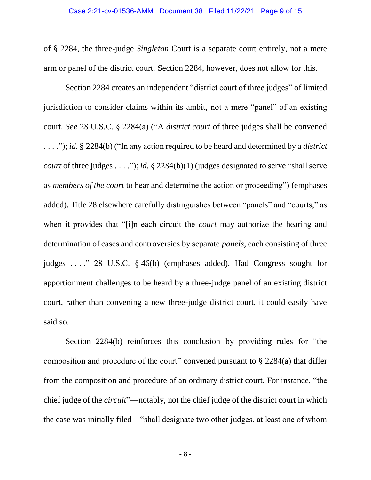of § 2284, the three-judge *Singleton* Court is a separate court entirely, not a mere arm or panel of the district court. Section 2284, however, does not allow for this.

Section 2284 creates an independent "district court of three judges" of limited jurisdiction to consider claims within its ambit, not a mere "panel" of an existing court. *See* 28 U.S.C. § 2284(a) ("A *district court* of three judges shall be convened . . . ."); *id.* § 2284(b) ("In any action required to be heard and determined by a *district court* of three judges . . . ."); *id.* § 2284(b)(1) (judges designated to serve "shall serve as *members of the court* to hear and determine the action or proceeding") (emphases added). Title 28 elsewhere carefully distinguishes between "panels" and "courts," as when it provides that "[i]n each circuit the *court* may authorize the hearing and determination of cases and controversies by separate *panels*, each consisting of three judges . . . ." 28 U.S.C. § 46(b) (emphases added). Had Congress sought for apportionment challenges to be heard by a three-judge panel of an existing district court, rather than convening a new three-judge district court, it could easily have said so.

Section 2284(b) reinforces this conclusion by providing rules for "the composition and procedure of the court" convened pursuant to  $\S 2284(a)$  that differ from the composition and procedure of an ordinary district court. For instance, "the chief judge of the *circuit*"—notably, not the chief judge of the district court in which the case was initially filed—"shall designate two other judges, at least one of whom

- 8 -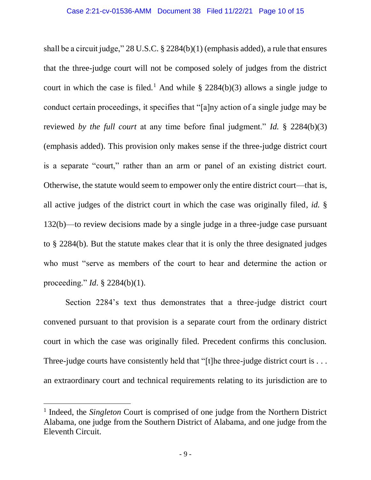shall be a circuit judge," 28 U.S.C. § 2284(b)(1) (emphasis added), a rule that ensures that the three-judge court will not be composed solely of judges from the district court in which the case is filed.<sup>1</sup> And while  $\S$  2284(b)(3) allows a single judge to conduct certain proceedings, it specifies that "[a]ny action of a single judge may be reviewed *by the full court* at any time before final judgment." *Id.* § 2284(b)(3) (emphasis added). This provision only makes sense if the three-judge district court is a separate "court," rather than an arm or panel of an existing district court. Otherwise, the statute would seem to empower only the entire district court—that is, all active judges of the district court in which the case was originally filed, *id.* § 132(b)—to review decisions made by a single judge in a three-judge case pursuant to § 2284(b). But the statute makes clear that it is only the three designated judges who must "serve as members of the court to hear and determine the action or proceeding." *Id*. § 2284(b)(1).

Section 2284's text thus demonstrates that a three-judge district court convened pursuant to that provision is a separate court from the ordinary district court in which the case was originally filed. Precedent confirms this conclusion. Three-judge courts have consistently held that "[t]he three-judge district court is . . . an extraordinary court and technical requirements relating to its jurisdiction are to

<sup>&</sup>lt;sup>1</sup> Indeed, the *Singleton* Court is comprised of one judge from the Northern District Alabama, one judge from the Southern District of Alabama, and one judge from the Eleventh Circuit.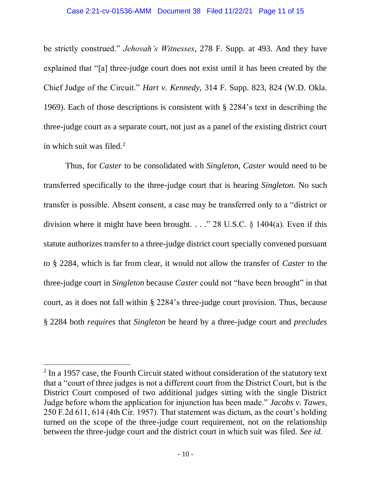#### Case 2:21-cv-01536-AMM Document 38 Filed 11/22/21 Page 11 of 15

be strictly construed." *Jehovah's Witnesses*, 278 F. Supp. at 493. And they have explained that "[a] three-judge court does not exist until it has been created by the Chief Judge of the Circuit." *Hart v. Kennedy*, 314 F. Supp. 823, 824 (W.D. Okla. 1969). Each of those descriptions is consistent with § 2284's text in describing the three-judge court as a separate court, not just as a panel of the existing district court in which suit was filed.<sup>2</sup>

Thus, for *Caster* to be consolidated with *Singleton*, *Caster* would need to be transferred specifically to the three-judge court that is hearing *Singleton*. No such transfer is possible. Absent consent, a case may be transferred only to a "district or division where it might have been brought. . . ." 28 U.S.C.  $\S$  1404(a). Even if this statute authorizes transfer to a three-judge district court specially convened pursuant to § 2284, which is far from clear, it would not allow the transfer of *Caster* to the three-judge court in *Singleton* because *Caster* could not "have been brought" in that court, as it does not fall within § 2284's three-judge court provision. Thus, because § 2284 both *requires* that *Singleton* be heard by a three-judge court and *precludes*

 $2$  In a 1957 case, the Fourth Circuit stated without consideration of the statutory text that a "court of three judges is not a different court from the District Court, but is the District Court composed of two additional judges sitting with the single District Judge before whom the application for injunction has been made." *Jacobs v. Tawes*, 250 F.2d 611, 614 (4th Cir. 1957). That statement was dictum, as the court's holding turned on the scope of the three-judge court requirement, not on the relationship between the three-judge court and the district court in which suit was filed. *See id.*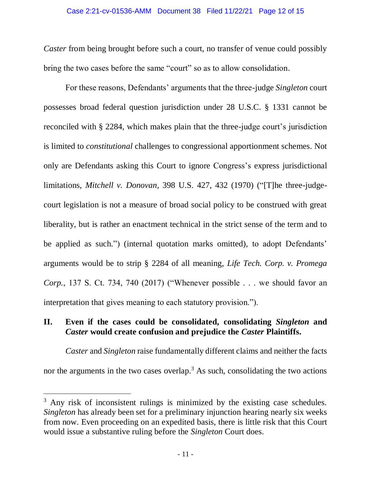*Caster* from being brought before such a court, no transfer of venue could possibly bring the two cases before the same "court" so as to allow consolidation.

For these reasons, Defendants' arguments that the three-judge *Singleton* court possesses broad federal question jurisdiction under 28 U.S.C. § 1331 cannot be reconciled with § 2284, which makes plain that the three-judge court's jurisdiction is limited to *constitutional* challenges to congressional apportionment schemes. Not only are Defendants asking this Court to ignore Congress's express jurisdictional limitations, *Mitchell v. Donovan*, 398 U.S. 427, 432 (1970) ("[T]he three-judgecourt legislation is not a measure of broad social policy to be construed with great liberality, but is rather an enactment technical in the strict sense of the term and to be applied as such.") (internal quotation marks omitted), to adopt Defendants' arguments would be to strip § 2284 of all meaning, *Life Tech. Corp. v. Promega Corp.*, 137 S. Ct. 734, 740 (2017) ("Whenever possible . . . we should favor an interpretation that gives meaning to each statutory provision.").

# **II. Even if the cases could be consolidated, consolidating** *Singleton* **and**  *Caster* **would create confusion and prejudice the** *Caster* **Plaintiffs.**

*Caster* and *Singleton* raise fundamentally different claims and neither the facts nor the arguments in the two cases overlap.<sup>3</sup> As such, consolidating the two actions

<sup>&</sup>lt;sup>3</sup> Any risk of inconsistent rulings is minimized by the existing case schedules. *Singleton* has already been set for a preliminary injunction hearing nearly six weeks from now. Even proceeding on an expedited basis, there is little risk that this Court would issue a substantive ruling before the *Singleton* Court does.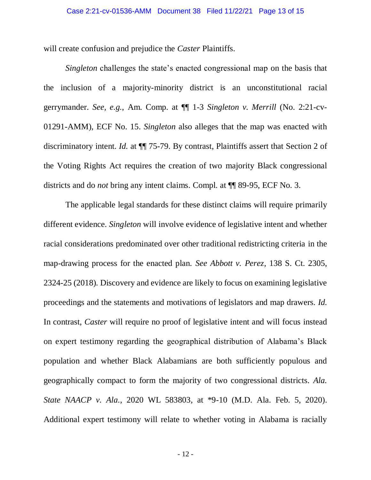will create confusion and prejudice the *Caster* Plaintiffs.

*Singleton* challenges the state's enacted congressional map on the basis that the inclusion of a majority-minority district is an unconstitutional racial gerrymander. *See, e.g.*, Am. Comp. at ¶¶ 1-3 *Singleton v. Merrill* (No. 2:21-cv-01291-AMM), ECF No. 15. *Singleton* also alleges that the map was enacted with discriminatory intent. *Id.* at ¶¶ 75-79. By contrast, Plaintiffs assert that Section 2 of the Voting Rights Act requires the creation of two majority Black congressional districts and do *not* bring any intent claims. Compl. at ¶¶ 89-95, ECF No. 3.

The applicable legal standards for these distinct claims will require primarily different evidence. *Singleton* will involve evidence of legislative intent and whether racial considerations predominated over other traditional redistricting criteria in the map-drawing process for the enacted plan*. See Abbott v. Perez*, 138 S. Ct. 2305, 2324-25 (2018)*.* Discovery and evidence are likely to focus on examining legislative proceedings and the statements and motivations of legislators and map drawers*. Id.* In contrast, *Caster* will require no proof of legislative intent and will focus instead on expert testimony regarding the geographical distribution of Alabama's Black population and whether Black Alabamians are both sufficiently populous and geographically compact to form the majority of two congressional districts. *Ala. State NAACP v. Ala.*, 2020 WL 583803, at \*9-10 (M.D. Ala. Feb. 5, 2020). Additional expert testimony will relate to whether voting in Alabama is racially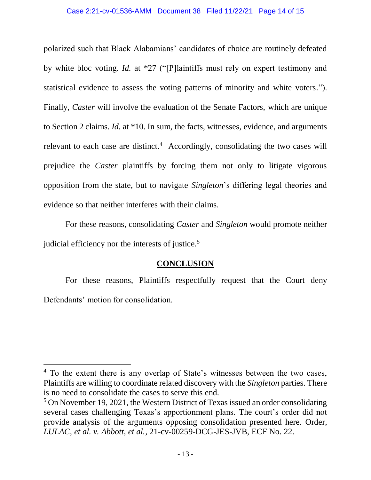polarized such that Black Alabamians' candidates of choice are routinely defeated by white bloc voting*. Id.* at \*27 ("[P]laintiffs must rely on expert testimony and statistical evidence to assess the voting patterns of minority and white voters*.*"). Finally, *Caster* will involve the evaluation of the Senate Factors, which are unique to Section 2 claims. *Id.* at \*10. In sum, the facts, witnesses, evidence, and arguments relevant to each case are distinct.<sup>4</sup> Accordingly, consolidating the two cases will prejudice the *Caster* plaintiffs by forcing them not only to litigate vigorous opposition from the state, but to navigate *Singleton*'s differing legal theories and evidence so that neither interferes with their claims.

For these reasons, consolidating *Caster* and *Singleton* would promote neither judicial efficiency nor the interests of justice.<sup>5</sup>

# **CONCLUSION**

For these reasons, Plaintiffs respectfully request that the Court deny Defendants' motion for consolidation.

<sup>&</sup>lt;sup>4</sup> To the extent there is any overlap of State's witnesses between the two cases, Plaintiffs are willing to coordinate related discovery with the *Singleton* parties. There is no need to consolidate the cases to serve this end.

<sup>&</sup>lt;sup>5</sup> On November 19, 2021, the Western District of Texas issued an order consolidating several cases challenging Texas's apportionment plans. The court's order did not provide analysis of the arguments opposing consolidation presented here. Order, *LULAC, et al. v. Abbott, et al.*, 21-cv-00259-DCG-JES-JVB, ECF No. 22.